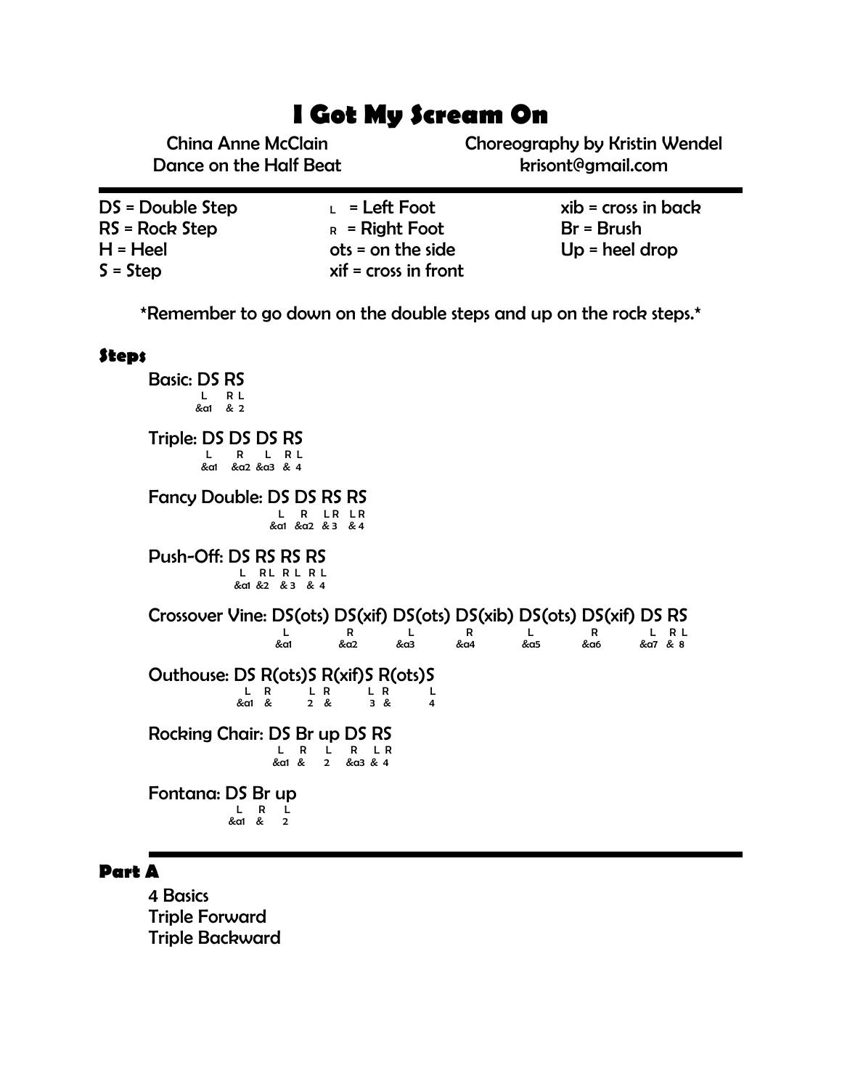# **I Got My Scream On**

China Anne McClain Dance on the Half Beat Choreography by Kristin Wendel krisont@gmail.com

| DS = Double Step | $L = \text{Left}$ Foot  | $xib = cross in back$ |
|------------------|-------------------------|-----------------------|
| RS = Rock Step   | $R =$ Right Foot        | $Br = Brush$          |
| H = Heel         | $ots = on the side$     | $Up = heel drop$      |
| $S = Step$       | $x$ if = cross in front |                       |

\*Remember to go down on the double steps and up on the rock steps.\*

#### **Steps**

Basic: DS RS **L** R L<br>L R L<br>ka1 & 2 Triple: DS DS DS RS L R L R L &a1 &a2 &a3 & 4 Fancy Double: DS DS RS RS L R LR LR<br>L R LR LR<br>dd &a2 & 3 & 4 Push-Off: DS RS RS RS L RL RL RL &a1 &2 & 3 & 4 Crossover Vine: DS(ots) DS(xif) DS(ots) DS(xib) DS(ots) DS(xif) DS RS  $L$  R  $L$  R  $L$  R  $L$  R  $L$  R  $L$  R  $L$  &a1 &a2 &a3 &a4 &a5 &a6 &a7 & 8 Outhouse: DS R(ots)S R(xif)S R(ots)S L R L R L R L R L &a1 & 2 & 3 & 4 Rocking Chair: DS Br up DS RS L R L R L R &a1 & 2 &a3 & 4 Fontana: DS Br up L R L **Example 2** & 2 & 2  $\frac{1}{2}$  & 2  $\frac{1}{2}$ 

#### **Part A**

4 Basics Triple Forward Triple Backward